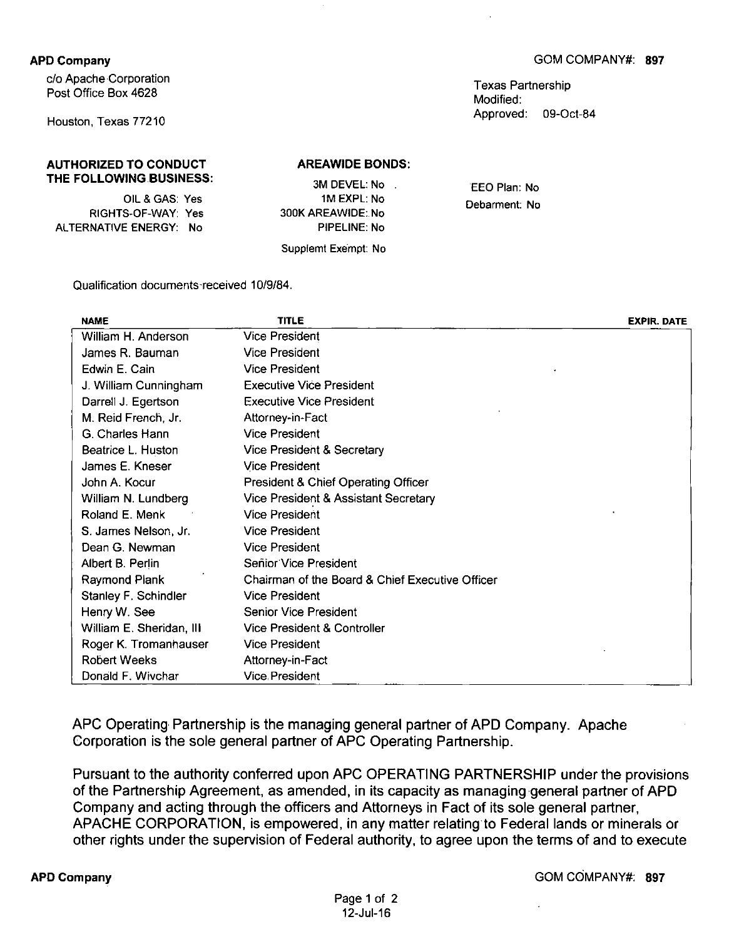## APD Company

c/o Apache Corporation Post Office Box 4628

Houston, Texas 77210

### AUTHORIZED TO CONDUCT THE FOLLOWING BUSINESS:

OIL & GAS: Yes RIGHTS-OF-WAY: Yes ALTERNATIVE ENERGY: No

AREAWIDE BONDS:

| 3M DEVEL: No        |  |
|---------------------|--|
| 1M EXPL: No         |  |
| 300K AREAWIDE: No   |  |
| PIPELINE: No        |  |
| Supplemt Exempt: No |  |

EEO Plan: No Debarment: No

Qualification documents-received 10/9/84.

| <b>NAME</b>              | <b>TITLE</b>                                    | <b>EXPIR. DATE</b> |
|--------------------------|-------------------------------------------------|--------------------|
| William H. Anderson      | <b>Vice President</b>                           |                    |
| James R. Bauman          | <b>Vice President</b>                           |                    |
| Edwin E. Cain            | <b>Vice President</b>                           |                    |
| J. William Cunningham    | <b>Executive Vice President</b>                 |                    |
| Darrell J. Egertson      | <b>Executive Vice President</b>                 |                    |
| M. Reid French, Jr.      | Attorney-in-Fact                                |                    |
| G. Charles Hann          | <b>Vice President</b>                           |                    |
| Beatrice L. Huston       | Vice President & Secretary                      |                    |
| James E. Kneser          | <b>Vice President</b>                           |                    |
| John A. Kocur            | <b>President &amp; Chief Operating Officer</b>  |                    |
| William N. Lundberg      | Vice President & Assistant Secretary            |                    |
| Roland E. Menk           | <b>Vice President</b>                           |                    |
| S. James Nelson, Jr.     | <b>Vice President</b>                           |                    |
| Dean G. Newman           | <b>Vice President</b>                           |                    |
| Albert B. Perlin         | Senior Vice President                           |                    |
| Raymond Plank            | Chairman of the Board & Chief Executive Officer |                    |
| Stanley F. Schindler     | <b>Vice President</b>                           |                    |
| Henry W. See             | Senior Vice President                           |                    |
| William E. Sheridan, III | Vice President & Controller                     |                    |
| Roger K. Tromanhauser    | <b>Vice President</b>                           |                    |
| <b>Robert Weeks</b>      | Attorney-in-Fact                                |                    |
| Donald F. Wivchar        | <b>Vice President</b>                           |                    |

APC Operating Partnership is the managing general partner of APD Company. Apache Corporation is the sole general partner of APC Operating Partnership.

Pursuant to the authority conferred upon APC OPERATING PARTNERSHIP under the provisions of the Partnership Agreement, as amended, in its capacity as managing general partner of APD Company and acting through the officers and Attorneys in Fact of its sole general partner, APACHE CORPORATION, is empowered, in any matter relating to Federal lands or minerals or other rights under the supervision of Federal authority, to agree upon the terms of and to execute

#### APD Company GOM COMPANY#: 897

Texas Partnership Modified: Approved: 09-Oct-84